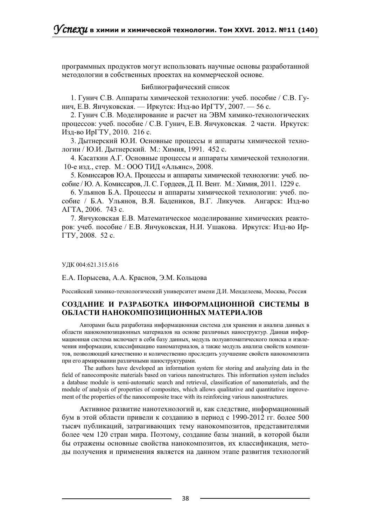программных продуктов могут использовать научные основы разработанной методологии в собственных проектах на коммерческой основе.

## Библиографический список

1. Гунич С.В. Аппараты химической технологии: учеб. пособие / С.В. Гунич, Е.В. Янчуковская. — Иркутск: Изд-во ИрГТУ, 2007. — 56 с.

2. Гунич С.В. Моделирование и расчет на ЭВМ химико-технологических процессов: учеб. пособие / С.В. Гунич, Е.В. Янчуковская. 2 части. Иркутск: Изд-во ИрГТУ, 2010. 216 с.

3. Дытнерский Ю.И. Основные процессы и аппараты химической технологии / Ю.И. Дытнерский. М.: Химия, 1991. 452 с.

4. Касаткин А.Г. Основные процессы и аппараты химической технологии. 10-е изд., стер. М.: ООО ТИД «Альянс», 2008.

5. Комиссаров Ю.А. Процессы и аппараты химической технологии: учеб. пособие / Ю. А. Комиссаров, Л. С. Гордеев, Д. П. Вент. М.: Химия, 2011. 1229 с.

6. Ульянов Б.А. Процессы и аппараты химической технологии: учеб. пособие / Б.А. Ульянов, В.Я. Бадеников, В.Г. Ликучев. Ангарск: Изд-во АГТА, 2006. 743 с.

7. Янчуковская Е.В. Математическое моделирование химических реакторов: учеб. пособие / Е.В. Янчуковская, Н.И. Ушакова. Иркутск: Изд-во Ир-ГТУ, 2008. 52 с.

УДК 004:621.315.616

Е.А. Порысева, А.А. Краснов, Э.М. Кольцова

Российский химико-технологический университет имени Д.И. Менделеева, Москва, Россия

## СОЗДАНИЕ И РАЗРАБОТКА ИНФОРМАЦИОННОЙ СИСТЕМЫ В ОБЛАСТИ НАНОКОМПОЗИЦИОННЫХ МАТЕРИАЛОВ

Авторами была разработана информационная система для хранения и анализа данных в области нанокомпозиционных материалов на основе различных наноструктур. Данная информационная система включает в себя базу данных, модуль полуавтоматического поиска и извлечения информации, классификацию наноматериалов, а также модуль анализа свойств композитов, позволяющий качественно и количественно проследить улучшение свойств нанокомпозита при его армировании различными наноструктурами.

The authors have developed an information system for storing and analyzing data in the field of nanocomposite materials based on various nanostructures. This information system includes a database module is semi-automatic search and retrieval, classification of nanomaterials, and the module of analysis of properties of composites, which allows qualitative and quantitative improvement of the properties of the nanocomposite trace with its reinforcing various nanostructures.

Активное развитие нанотехнологий и, как следствие, информационный бум в этой области привели к созданию в период с 1990-2012 гг. более 500 тысяч публикаций, затрагивающих тему нанокомпозитов, представителями более чем 120 стран мира. Поэтому, создание базы знаний, в которой были бы отражены основные свойства нанокомпозитов, их классификация, методы получения и применения является на данном этапе развития технологий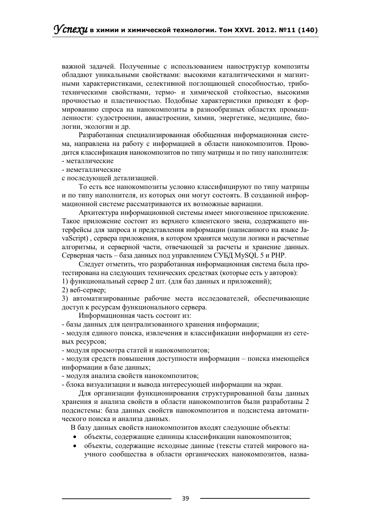важной задачей. Полученные с использованием наноструктур композиты обладают уникальными свойствами: высокими каталитическими и магнитными характеристиками, селективной поглощающей способностью, триботехническими свойствами, термо- и химической стойкостью, высокими прочностью и пластичностью. Подобные характеристики приводят к формированию спроса на нанокомпозиты в разнообразных областях промышленности: судостроении, авиастроении, химии, энергетике, медицине, биологии, экологии и др.

Разработанная специализированная обобщенная информационная система, направлена на работу с информацией в области нанокомпозитов. Проводится классификация нанокомпозитов по типу матрицы и по типу наполнителя: - металлические

- неметаллические

с последующей детализацией.

То есть все нанокомпозиты условно классифицируют по типу матрицы и по типу наполнителя, из которых они могут состоять. В созданной информационной системе рассматриваются их возможные вариации.

Архитектура информационной системы имеет многозвенное приложение. Такое приложение состоит из верхнего клиентского звена, содержащего интерфейсы для запроса и представления информации (написанного на языке ЈаvaScript), сервера приложения, в котором хранятся модули логики и расчетные алгоритмы, и серверной части, отвечающей за расчеты и хранение данных. Серверная часть - база данных под управлением СУБД MySQL 5 и PHP.

Следует отметить, что разработанная информационная система была протестирована на следующих технических средствах (которые есть у авторов): 1) функциональный сервер 2 шт. (для баз данных и приложений);

2) веб-сервер;

3) автоматизированные рабочие места исследователей, обеспечивающие доступ к ресурсам функционального сервера.

Информационная часть состоит из:

- базы данных для централизованного хранения информации;

- модуля единого поиска, извлечения и классификации информации из сетевых ресурсов;

- модуля просмотра статей и нанокомпозитов;

- модуля средств повышения доступности информации - поиска имеющейся информации в базе данных;

- модуля анализа свойств нанокомпозитов;

- блока визуализации и вывода интересующей информации на экран.

Для организации функционирования структурированной базы данных хранения и анализа свойств в области нанокомпозитов были разработаны 2 подсистемы: база данных свойств нанокомпозитов и подсистема автоматического поиска и анализа данных.

В базу данных свойств нанокомпозитов входят следующие объекты:

- объекты, содержащие единицы классификации нанокомпозитов;
- $\bullet$ объекты, содержащие исходные данные (тексты статей мирового научного сообщества в области органических нанокомпозитов, назва-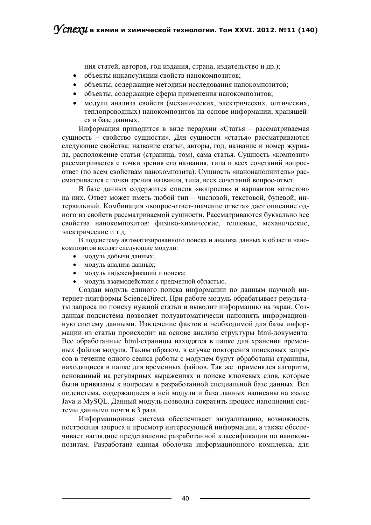ния статей, авторов, год издания, страна, издательство и др.);

- объекты инкапсуляции свойств нанокомпозитов;  $\bullet$
- объекты, содержащие методики исследования нанокомпозитов;
- объекты, содержащие сферы применения нанокомпозитов;
- молули анализа свойств (механических, электрических, оптических, теплопроводных) нанокомпозитов на основе информации, хранящейся в базе данных.

Информация приводится в виде иерархии «Статья – рассматриваемая сущность - свойство сущности». Для сущности «статья» рассматриваются следующие свойства: название статьи, авторы, год, название и номер журнала, расположение статьи (страница, том), сама статья. Сущность «композит» рассматривается с точки зрения его названия, типа и всех сочетаний вопросответ (по всем свойствам нанокомпозита). Сущность «нанонаполнитель» рассматривается с точки зрения названия, типа, всех сочетаний вопрос-ответ.

В базе данных содержится список «вопросов» и вариантов «ответов» на них. Ответ может иметь любой тип - числовой, текстовой, булевой, интервальный. Комбинация «вопрос-ответ-значение ответа» дает описание одного из свойств рассматриваемой сущности. Рассматриваются буквально все свойства нанокомпозитов: физико-химические, тепловые, механические, электрические и т.д.

В подсистему автоматизированного поиска и анализа данных в области нанокомпозитов входят следующие модули:

- модуль добычи данных;
- модуль анализа данных;
- модуль индексификации и поиска;
- модуль взаимодействия с предметной областью.

Создан модуль единого поиска информации по данным научной интернет-платформы ScienceDirect. При работе модуль обрабатывает результаты запроса по поиску нужной статьи и выводит информацию на экран. Созданная подсистема позволяет полуавтоматически наполнять информационную систему данными. Извлечение фактов и необходимой для базы информации из статьи происходит на основе анализа структуры html-документа. Все обработанные html-страницы находятся в папке для хранения временных файлов модуля. Таким образом, в случае повторения поисковых запросов в течение одного сеанса работы с модулем будут обработаны страницы, находящиеся в папке для временных файлов. Так же применялся алгоритм, основанный на регулярных выражениях и поиске ключевых слов, которые были привязаны к вопросам в разработанной специальной базе данных. Вся подсистема, содержащиеся в ней модули и база данных написаны на языке Java и MySQL. Данный модуль позволил сократить процесс наполнения системы данными почти в 3 раза.

Информационная система обеспечивает визуализацию, возможность построения запроса и просмотр интересующей информации, а также обеспечивает наглядное представление разработанной классификации по нанокомпозитам. Разработана единая оболочка информационного комплекса, для